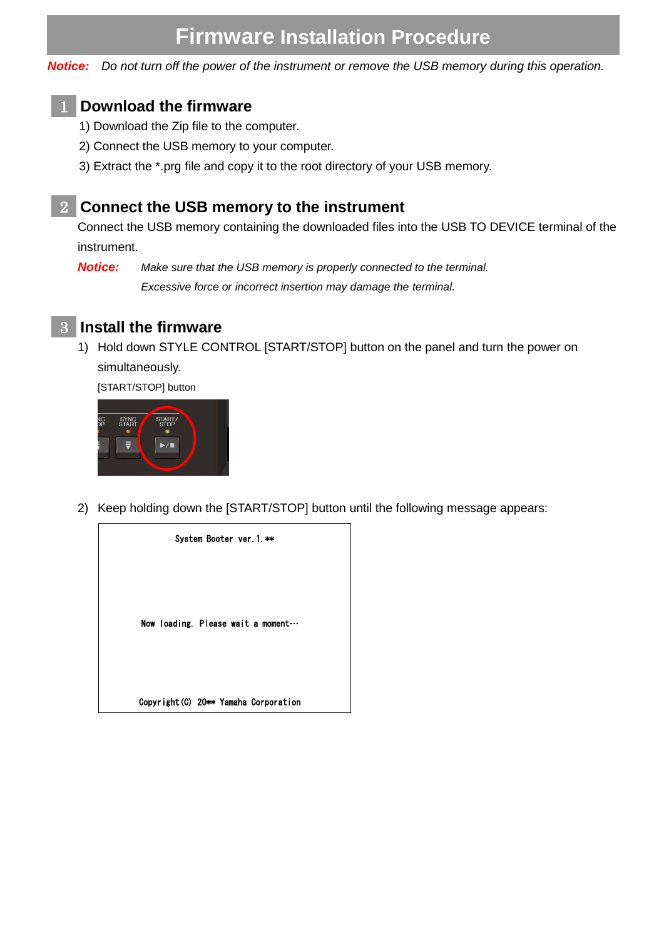# **Firmware Installation Procedure**

*Notice: Do not turn off the power of the instrument or remove the USB memory during this operation.*

### **Download the firmware** 1

- 1) Download the Zip file to the computer.
- 2) Connect the USB memory to your computer.
- 3) Extract the \*.prg file and copy it to the root directory of your USB memory.

#### **Connect the USB memory to the instrument** 2

Connect the USB memory containing the downloaded files into the USB TO DEVICE terminal of the instrument.

*Notice: Make sure that the USB memory is properly connected to the terminal.*

*Excessive force or incorrect insertion may damage the terminal.*



1) Hold down STYLE CONTROL [START/STOP] button on the panel and turn the power on simultaneously.

[START/STOP] button



2) Keep holding down the [START/STOP] button until the following message appears:

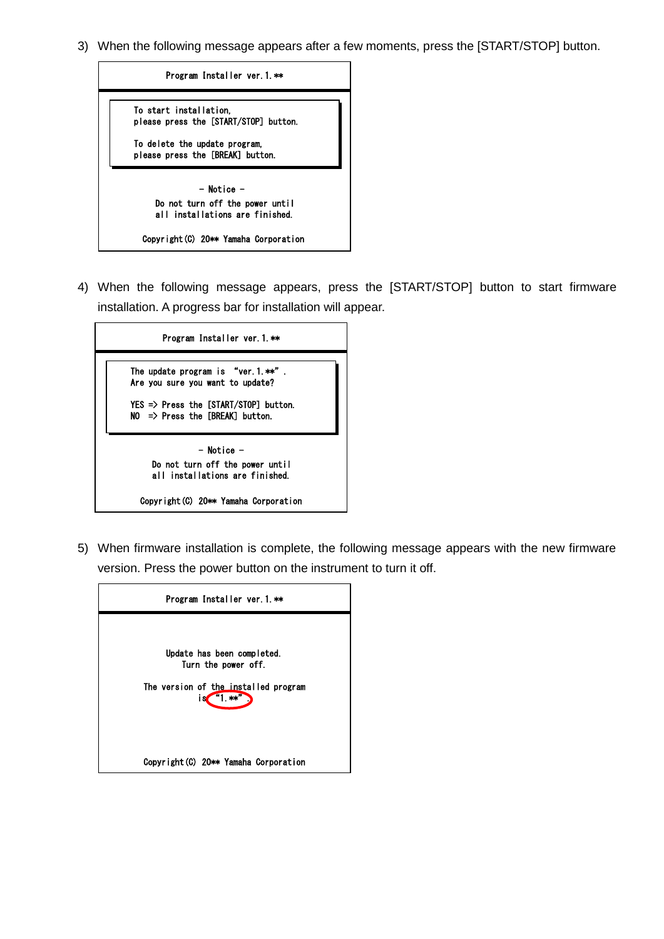3) When the following message appears after a few moments, press the [START/STOP] button.



4) When the following message appears, press the [START/STOP] button to start firmware installation. A progress bar for installation will appear.



5) When firmware installation is complete, the following message appears with the new firmware version. Press the power button on the instrument to turn it off.